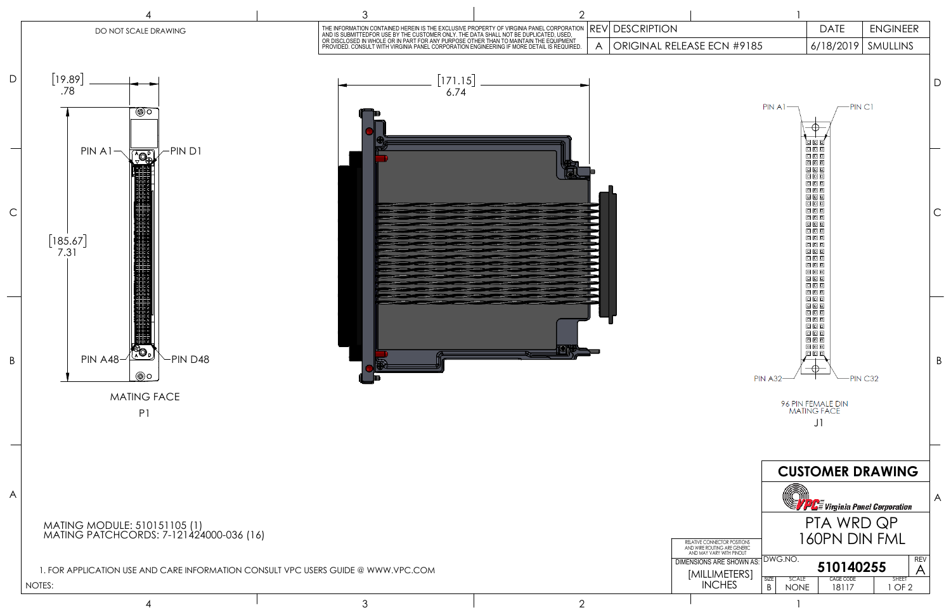